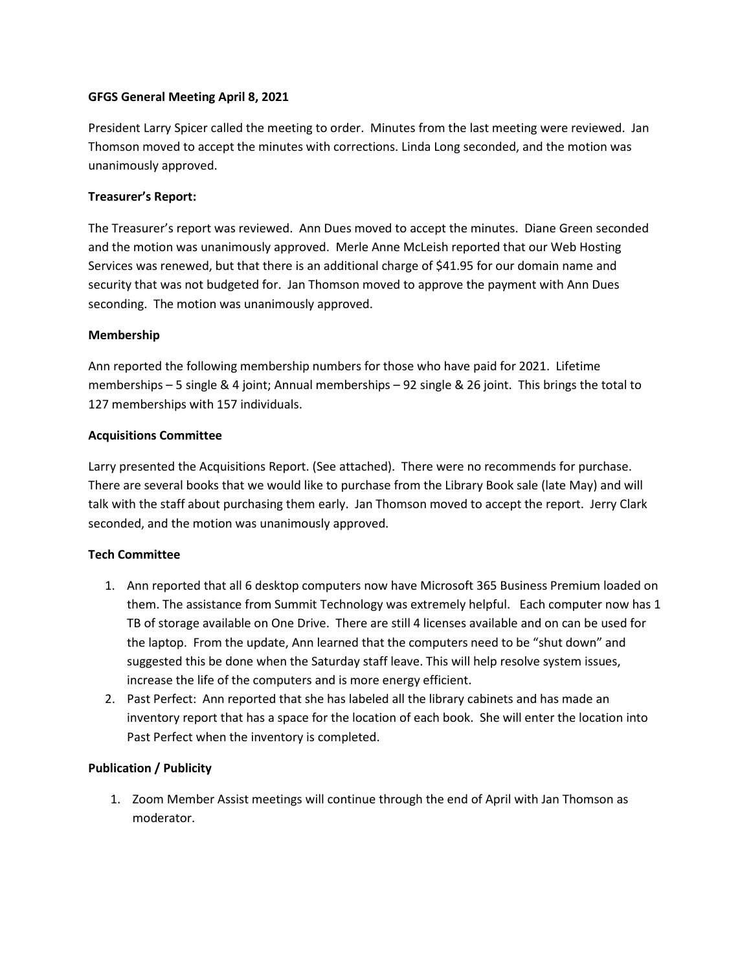## **GFGS General Meeting April 8, 2021**

President Larry Spicer called the meeting to order. Minutes from the last meeting were reviewed. Jan Thomson moved to accept the minutes with corrections. Linda Long seconded, and the motion was unanimously approved.

# **Treasurer's Report:**

The Treasurer's report was reviewed. Ann Dues moved to accept the minutes. Diane Green seconded and the motion was unanimously approved. Merle Anne McLeish reported that our Web Hosting Services was renewed, but that there is an additional charge of \$41.95 for our domain name and security that was not budgeted for. Jan Thomson moved to approve the payment with Ann Dues seconding. The motion was unanimously approved.

## **Membership**

Ann reported the following membership numbers for those who have paid for 2021. Lifetime memberships – 5 single & 4 joint; Annual memberships – 92 single & 26 joint. This brings the total to 127 memberships with 157 individuals.

## **Acquisitions Committee**

Larry presented the Acquisitions Report. (See attached). There were no recommends for purchase. There are several books that we would like to purchase from the Library Book sale (late May) and will talk with the staff about purchasing them early. Jan Thomson moved to accept the report. Jerry Clark seconded, and the motion was unanimously approved.

# **Tech Committee**

- 1. Ann reported that all 6 desktop computers now have Microsoft 365 Business Premium loaded on them. The assistance from Summit Technology was extremely helpful. Each computer now has 1 TB of storage available on One Drive. There are still 4 licenses available and on can be used for the laptop. From the update, Ann learned that the computers need to be "shut down" and suggested this be done when the Saturday staff leave. This will help resolve system issues, increase the life of the computers and is more energy efficient.
- 2. Past Perfect: Ann reported that she has labeled all the library cabinets and has made an inventory report that has a space for the location of each book. She will enter the location into Past Perfect when the inventory is completed.

## **Publication / Publicity**

1. Zoom Member Assist meetings will continue through the end of April with Jan Thomson as moderator.